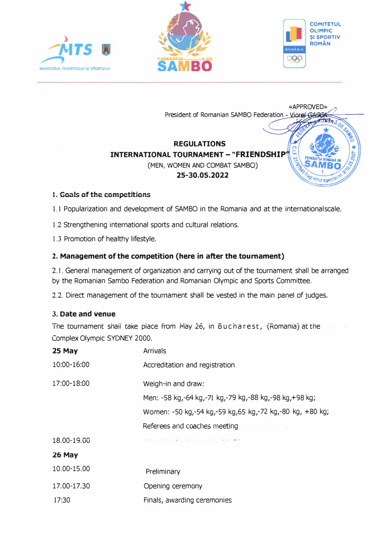







# 1. Goals of the competitions

1.1 Popularization and development of SAMBO in the Romania and at the international scale.

1.2 Strengthening international sports and cultural relations.

1.3 Promotion of healthy lifestyle.

# 2. Management of the competition (here in after the tournament)

2.1. General management of organization and carrying out of the tournament shall be arranged by the Romanian Sambo Federation and Romanian Olympic and Sports Committee.

2.2. Direct management of the tournament shall be vested in the main panel of judges.

# 3. Date and venue

The tournament shall take place from May 26, in Bucharest, (Romania) at the Complex Olympic SYDNEY 2000.

| 25 May      | <b>Arrivals</b>                                          |
|-------------|----------------------------------------------------------|
| 10:00-16:00 | Accreditation and registration                           |
| 17:00-18:00 | Weigh-in and draw:                                       |
|             | Men: -58 kg,-64 kg,-71 kg,-79 kg,-88 kg,-98 kg,+98 kg;   |
|             | Women: -50 kg,-54 kg,-59 kg,65 kg,-72 kg,-80 kg, +80 kg; |
|             | Referees and coaches meeting                             |
| 18.00-19.00 | THE CONTRACTOR IN THE REPORT                             |
| 26 May      |                                                          |
| 10.00-15.00 | Preliminary                                              |
| 17.00-17.30 | Opening ceremony                                         |

17:30 Finals, awarding ceremonies